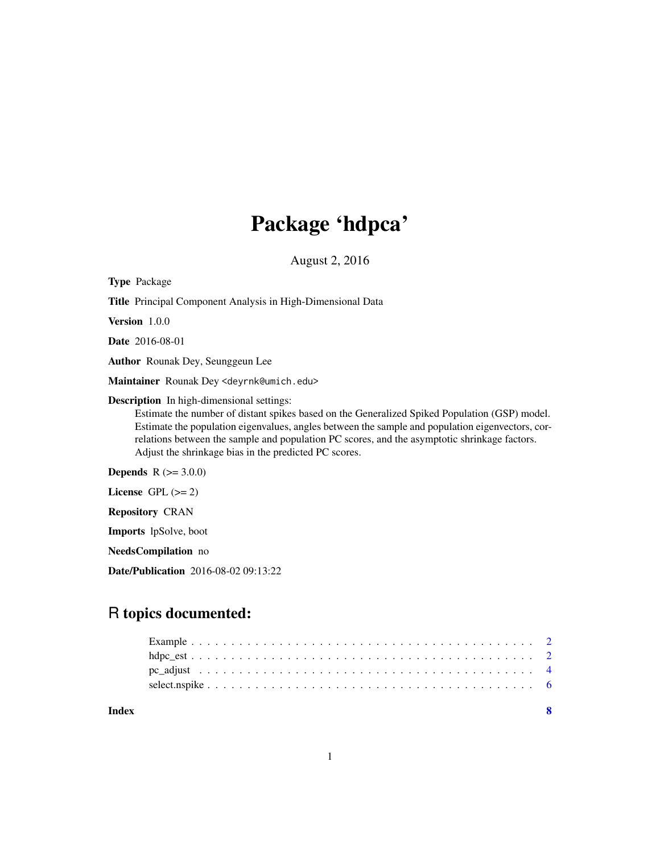## Package 'hdpca'

August 2, 2016

Type Package Title Principal Component Analysis in High-Dimensional Data Version 1.0.0 Date 2016-08-01 Author Rounak Dey, Seunggeun Lee Maintainer Rounak Dey <deyrnk@umich.edu> Description In high-dimensional settings: Estimate the number of distant spikes based on the Generalized Spiked Population (GSP) model. Estimate the population eigenvalues, angles between the sample and population eigenvectors, correlations between the sample and population PC scores, and the asymptotic shrinkage factors. Adjust the shrinkage bias in the predicted PC scores. **Depends** R  $(>= 3.0.0)$ License GPL  $(>= 2)$ Repository CRAN Imports lpSolve, boot NeedsCompilation no

Date/Publication 2016-08-02 09:13:22

### R topics documented:

| Index |  |
|-------|--|
|       |  |
|       |  |
|       |  |
|       |  |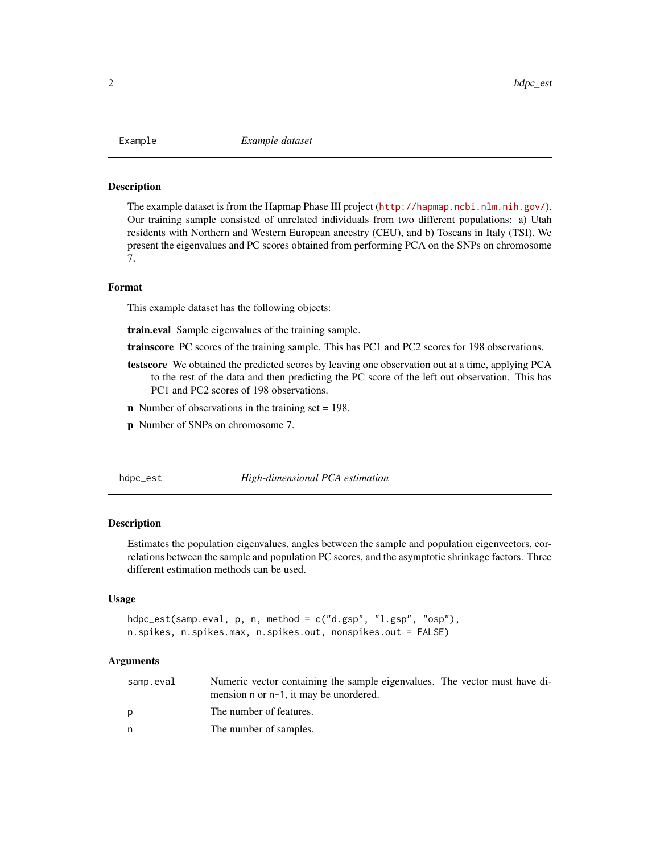#### <span id="page-1-0"></span>**Description**

The example dataset is from the Hapmap Phase III project (<http://hapmap.ncbi.nlm.nih.gov/>). Our training sample consisted of unrelated individuals from two different populations: a) Utah residents with Northern and Western European ancestry (CEU), and b) Toscans in Italy (TSI). We present the eigenvalues and PC scores obtained from performing PCA on the SNPs on chromosome 7.

#### Format

This example dataset has the following objects:

train.eval Sample eigenvalues of the training sample.

trainscore PC scores of the training sample. This has PC1 and PC2 scores for 198 observations.

- testscore We obtained the predicted scores by leaving one observation out at a time, applying PCA to the rest of the data and then predicting the PC score of the left out observation. This has PC1 and PC2 scores of 198 observations.
- n Number of observations in the training set = 198.
- p Number of SNPs on chromosome 7.

#### <span id="page-1-1"></span>hdpc\_est *High-dimensional PCA estimation*

#### Description

Estimates the population eigenvalues, angles between the sample and population eigenvectors, correlations between the sample and population PC scores, and the asymptotic shrinkage factors. Three different estimation methods can be used.

#### Usage

```
hdpc_est(samp.eval, p, n, method = c("d.gsp", "l.gsp", "osp"),
n.spikes, n.spikes.max, n.spikes.out, nonspikes.out = FALSE)
```
#### Arguments

| samp.eval | Numeric vector containing the sample eigenvalues. The vector must have di-<br>mension n or n-1, it may be unordered. |  |  |
|-----------|----------------------------------------------------------------------------------------------------------------------|--|--|
|           | The number of features.                                                                                              |  |  |
|           | The number of samples.                                                                                               |  |  |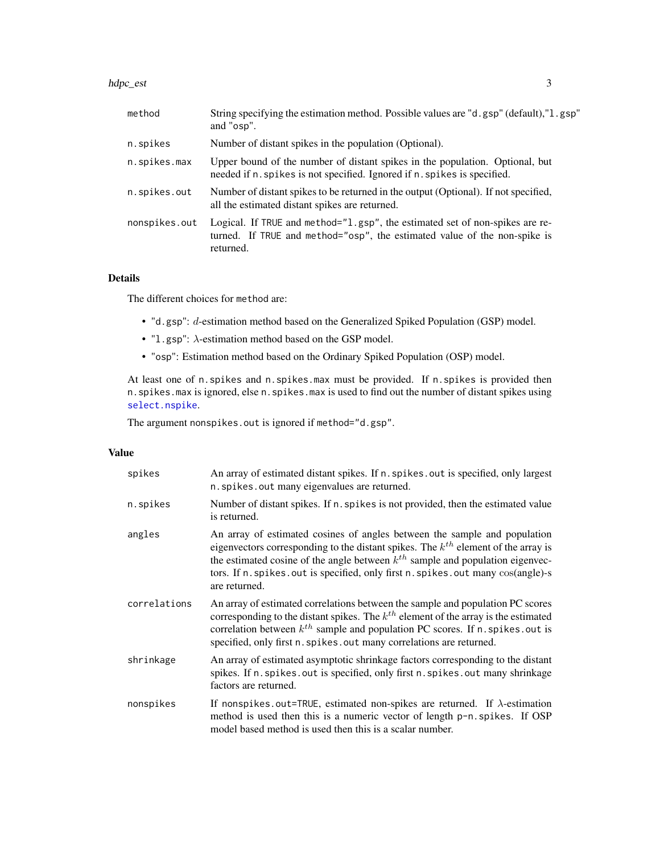<span id="page-2-0"></span>hdpc\_est 3

| method        | String specifying the estimation method. Possible values are "d.gsp" (default), "l.gsp"<br>and "osp".                                                                  |
|---------------|------------------------------------------------------------------------------------------------------------------------------------------------------------------------|
| n.spikes      | Number of distant spikes in the population (Optional).                                                                                                                 |
| n.spikes.max  | Upper bound of the number of distant spikes in the population. Optional, but<br>needed if n. spikes is not specified. Ignored if n. spikes is specified.               |
| n.spikes.out  | Number of distant spikes to be returned in the output (Optional). If not specified,<br>all the estimated distant spikes are returned.                                  |
| nonspikes.out | Logical. If TRUE and method="1.gsp", the estimated set of non-spikes are re-<br>turned. If TRUE and method="osp", the estimated value of the non-spike is<br>returned. |

#### Details

The different choices for method are:

- "d.gsp": d-estimation method based on the Generalized Spiked Population (GSP) model.
- "l.gsp":  $\lambda$ -estimation method based on the GSP model.
- "osp": Estimation method based on the Ordinary Spiked Population (OSP) model.

At least one of n.spikes and n.spikes.max must be provided. If n.spikes is provided then n.spikes.max is ignored, else n.spikes.max is used to find out the number of distant spikes using [select.nspike](#page-5-1).

The argument nonspikes.out is ignored if method="d.gsp".

#### Value

| spikes       | An array of estimated distant spikes. If n. spikes. out is specified, only largest<br>n. spikes. out many eigenvalues are returned.                                                                                                                                                                                                                             |
|--------------|-----------------------------------------------------------------------------------------------------------------------------------------------------------------------------------------------------------------------------------------------------------------------------------------------------------------------------------------------------------------|
| n.spikes     | Number of distant spikes. If n. spikes is not provided, then the estimated value<br>is returned.                                                                                                                                                                                                                                                                |
| angles       | An array of estimated cosines of angles between the sample and population<br>eigenvectors corresponding to the distant spikes. The $k^{th}$ element of the array is<br>the estimated cosine of the angle between $k^{th}$ sample and population eigenvec-<br>tors. If n. spikes. out is specified, only first n. spikes. out many cos(angle)-s<br>are returned. |
| correlations | An array of estimated correlations between the sample and population PC scores<br>corresponding to the distant spikes. The $k^{th}$ element of the array is the estimated<br>correlation between $k^{th}$ sample and population PC scores. If n. spikes, out is<br>specified, only first n. spikes. out many correlations are returned.                         |
| shrinkage    | An array of estimated asymptotic shrinkage factors corresponding to the distant<br>spikes. If n. spikes. out is specified, only first n. spikes. out many shrinkage<br>factors are returned.                                                                                                                                                                    |
| nonspikes    | If nonspikes out=TRUE, estimated non-spikes are returned. If $\lambda$ -estimation<br>method is used then this is a numeric vector of length p-n.spikes. If OSP<br>model based method is used then this is a scalar number.                                                                                                                                     |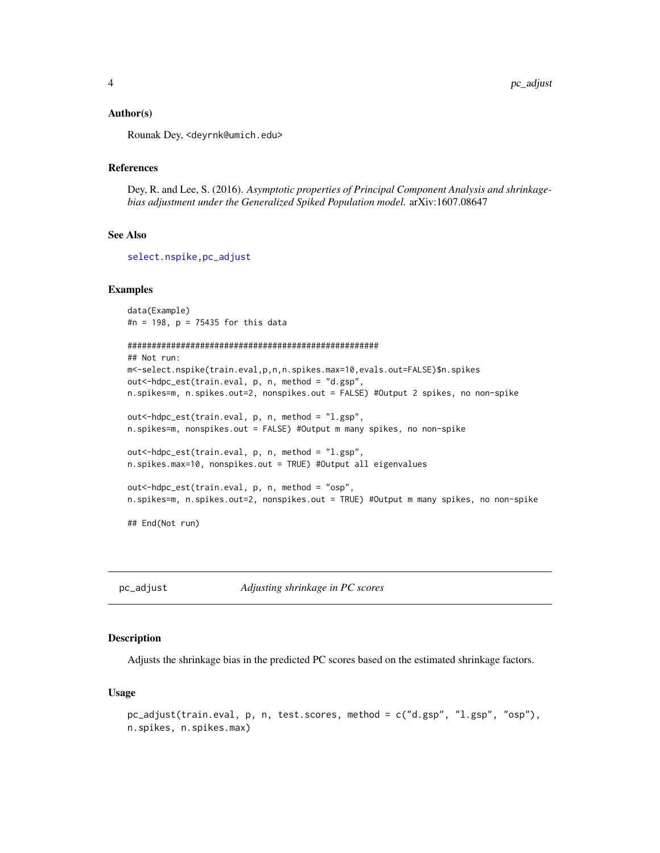#### <span id="page-3-0"></span>Author(s)

Rounak Dey, <deyrnk@umich.edu>

#### References

Dey, R. and Lee, S. (2016). *Asymptotic properties of Principal Component Analysis and shrinkagebias adjustment under the Generalized Spiked Population model.* arXiv:1607.08647

#### See Also

[select.nspike](#page-5-1)[,pc\\_adjust](#page-3-1)

#### Examples

data(Example) #n = 198, p = 75435 for this data

```
####################################################
```

```
## Not run:
m<-select.nspike(train.eval,p,n,n.spikes.max=10,evals.out=FALSE)$n.spikes
out<-hdpc_est(train.eval, p, n, method = "d.gsp",
n.spikes=m, n.spikes.out=2, nonspikes.out = FALSE) #Output 2 spikes, no non-spike
```
out<-hdpc\_est(train.eval, p, n, method = "l.gsp", n.spikes=m, nonspikes.out = FALSE) #Output m many spikes, no non-spike

```
out<-hdpc_est(train.eval, p, n, method = "l.gsp",
n.spikes.max=10, nonspikes.out = TRUE) #Output all eigenvalues
```

```
out<-hdpc_est(train.eval, p, n, method = "osp",
n.spikes=m, n.spikes.out=2, nonspikes.out = TRUE) #Output m many spikes, no non-spike
```
## End(Not run)

<span id="page-3-1"></span>pc\_adjust *Adjusting shrinkage in PC scores*

#### Description

Adjusts the shrinkage bias in the predicted PC scores based on the estimated shrinkage factors.

#### Usage

```
pc_adjust(train.eval, p, n, test.scores, method = c("d.gsp", "l.gsp", "osp"),
n.spikes, n.spikes.max)
```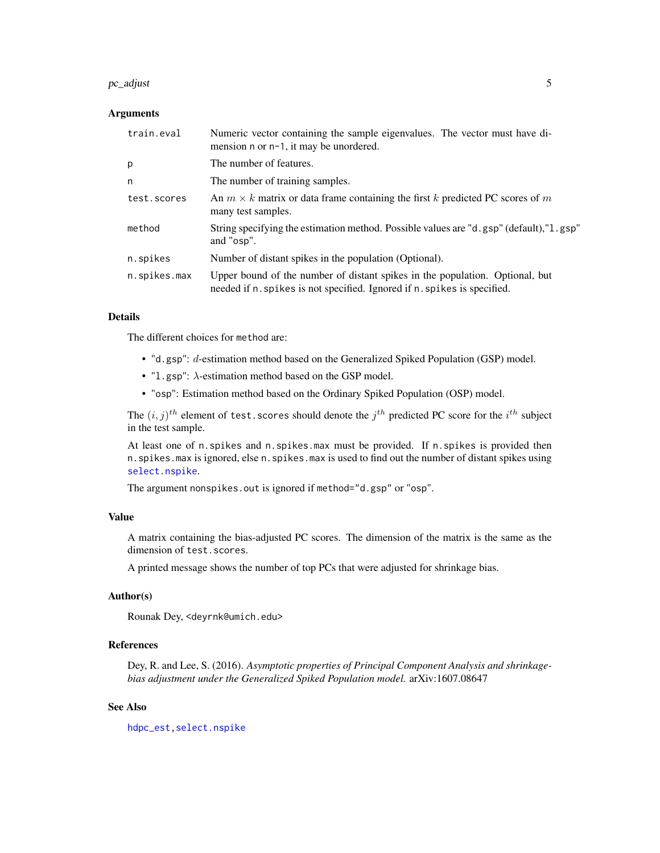#### <span id="page-4-0"></span> $pc\_adjust$  5

#### Arguments

| train.eval   | Numeric vector containing the sample eigenvalues. The vector must have di-<br>mension n or n-1, it may be unordered.                                     |
|--------------|----------------------------------------------------------------------------------------------------------------------------------------------------------|
| p            | The number of features.                                                                                                                                  |
| n            | The number of training samples.                                                                                                                          |
| test.scores  | An $m \times k$ matrix or data frame containing the first k predicted PC scores of m<br>many test samples.                                               |
| method       | String specifying the estimation method. Possible values are "d.gsp" (default), "l.gsp"<br>and "osp".                                                    |
| n.spikes     | Number of distant spikes in the population (Optional).                                                                                                   |
| n.spikes.max | Upper bound of the number of distant spikes in the population. Optional, but<br>needed if n. spikes is not specified. Ignored if n. spikes is specified. |

#### Details

The different choices for method are:

- "d.gsp": d-estimation method based on the Generalized Spiked Population (GSP) model.
- "l.gsp": λ-estimation method based on the GSP model.
- "osp": Estimation method based on the Ordinary Spiked Population (OSP) model.

The  $(i, j)^{th}$  element of test. scores should denote the  $j^{th}$  predicted PC score for the  $i^{th}$  subject in the test sample.

At least one of n.spikes and n.spikes.max must be provided. If n.spikes is provided then n.spikes.max is ignored, else n.spikes.max is used to find out the number of distant spikes using [select.nspike](#page-5-1).

The argument nonspikes.out is ignored if method="d.gsp" or "osp".

#### Value

A matrix containing the bias-adjusted PC scores. The dimension of the matrix is the same as the dimension of test.scores.

A printed message shows the number of top PCs that were adjusted for shrinkage bias.

#### Author(s)

Rounak Dey, <deyrnk@umich.edu>

#### References

Dey, R. and Lee, S. (2016). *Asymptotic properties of Principal Component Analysis and shrinkagebias adjustment under the Generalized Spiked Population model.* arXiv:1607.08647

#### See Also

[hdpc\\_est](#page-1-1)[,select.nspike](#page-5-1)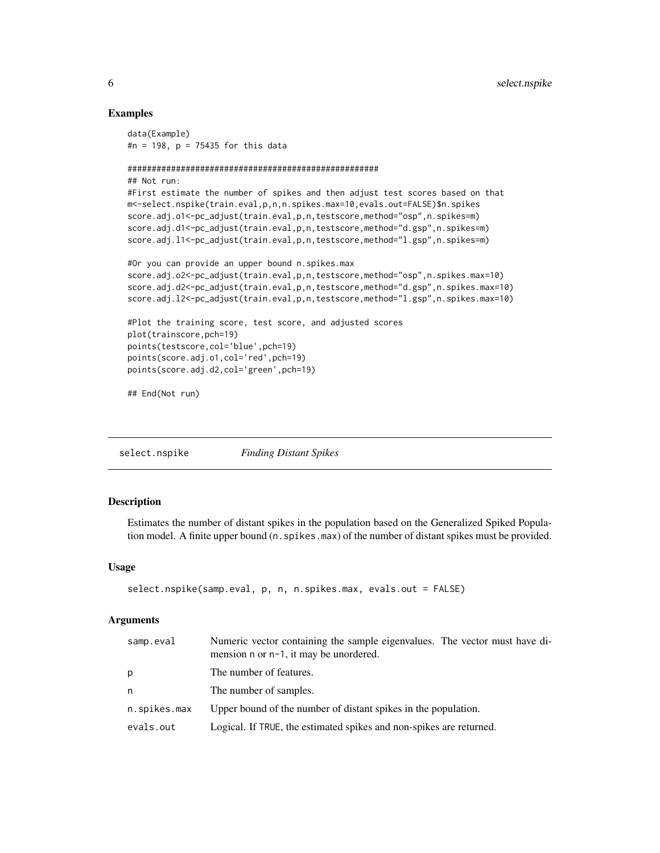#### Examples

```
data(Example)
#n = 198, p = 75435 for this data
####################################################
## Not run:
#First estimate the number of spikes and then adjust test scores based on that
m<-select.nspike(train.eval,p,n,n.spikes.max=10,evals.out=FALSE)$n.spikes
score.adj.o1<-pc_adjust(train.eval,p,n,testscore,method="osp",n.spikes=m)
score.adj.d1<-pc_adjust(train.eval,p,n,testscore,method="d.gsp",n.spikes=m)
score.adj.l1<-pc_adjust(train.eval,p,n,testscore,method="l.gsp",n.spikes=m)
#Or you can provide an upper bound n.spikes.max
score.adj.o2<-pc_adjust(train.eval,p,n,testscore,method="osp",n.spikes.max=10)
score.adj.d2<-pc_adjust(train.eval,p,n,testscore,method="d.gsp",n.spikes.max=10)
score.adj.l2<-pc_adjust(train.eval,p,n,testscore,method="l.gsp",n.spikes.max=10)
#Plot the training score, test score, and adjusted scores
plot(trainscore,pch=19)
points(testscore,col='blue',pch=19)
points(score.adj.o1,col='red',pch=19)
points(score.adj.d2,col='green',pch=19)
```
## End(Not run)

<span id="page-5-1"></span>

| <b>Finding Distant Spikes</b> |
|-------------------------------|
|                               |

#### Description

Estimates the number of distant spikes in the population based on the Generalized Spiked Population model. A finite upper bound (n.spikes.max) of the number of distant spikes must be provided.

#### Usage

```
select.nspike(samp.eval, p, n, n.spikes.max, evals.out = FALSE)
```
#### Arguments

| samp.eval    | Numeric vector containing the sample eigenvalues. The vector must have di-<br>mension n or n-1, it may be unordered. |
|--------------|----------------------------------------------------------------------------------------------------------------------|
| p            | The number of features.                                                                                              |
| n            | The number of samples.                                                                                               |
| n.spikes.max | Upper bound of the number of distant spikes in the population.                                                       |
| evals.out    | Logical. If TRUE, the estimated spikes and non-spikes are returned.                                                  |

<span id="page-5-0"></span>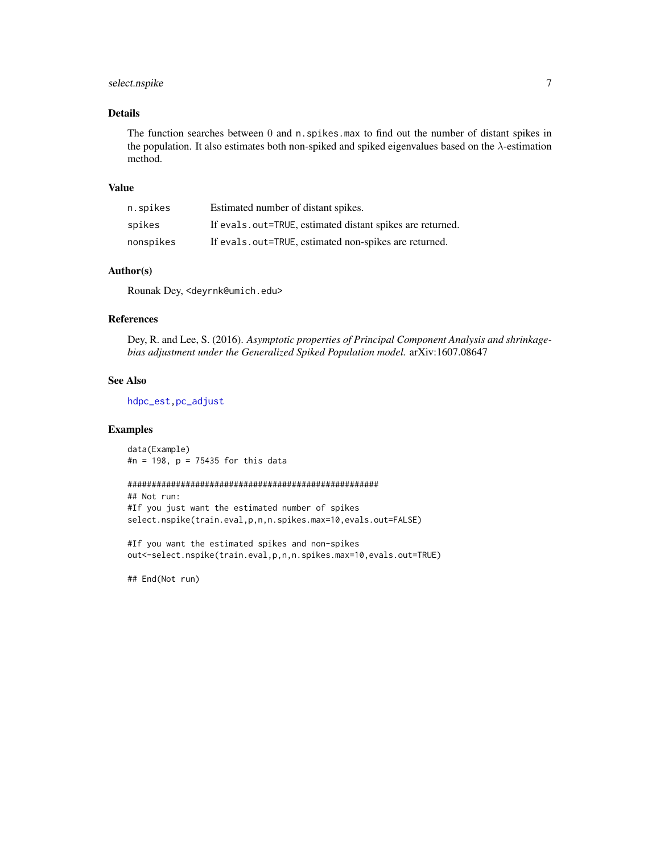#### <span id="page-6-0"></span>select.nspike 7

#### Details

The function searches between 0 and n.spikes.max to find out the number of distant spikes in the population. It also estimates both non-spiked and spiked eigenvalues based on the  $\lambda$ -estimation method.

#### Value

| n.spikes  | Estimated number of distant spikes.                        |
|-----------|------------------------------------------------------------|
| spikes    | If evals, out=TRUE, estimated distant spikes are returned. |
| nonspikes | If evals, out=TRUE, estimated non-spikes are returned.     |

#### Author(s)

Rounak Dey, <deyrnk@umich.edu>

#### References

Dey, R. and Lee, S. (2016). *Asymptotic properties of Principal Component Analysis and shrinkagebias adjustment under the Generalized Spiked Population model.* arXiv:1607.08647

#### See Also

[hdpc\\_est](#page-1-1)[,pc\\_adjust](#page-3-1)

#### Examples

data(Example) #n = 198, p = 75435 for this data

#### ####################################################

## Not run: #If you just want the estimated number of spikes select.nspike(train.eval,p,n,n.spikes.max=10,evals.out=FALSE)

#If you want the estimated spikes and non-spikes out<-select.nspike(train.eval,p,n,n.spikes.max=10,evals.out=TRUE)

## End(Not run)